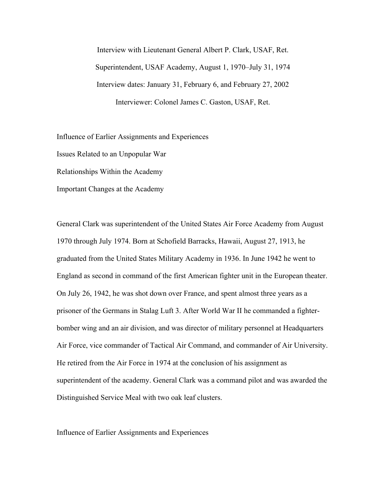Interview with Lieutenant General Albert P. Clark, USAF, Ret. Superintendent, USAF Academy, August 1, 1970–July 31, 1974 Interview dates: January 31, February 6, and February 27, 2002 Interviewer: Colonel James C. Gaston, USAF, Ret.

Influence of Earlier Assignments and Experiences

Issues Related to an Unpopular War

Relationships Within the Academy

Important Changes at the Academy

General Clark was superintendent of the United States Air Force Academy from August 1970 through July 1974. Born at Schofield Barracks, Hawaii, August 27, 1913, he graduated from the United States Military Academy in 1936. In June 1942 he went to England as second in command of the first American fighter unit in the European theater. On July 26, 1942, he was shot down over France, and spent almost three years as a prisoner of the Germans in Stalag Luft 3. After World War II he commanded a fighterbomber wing and an air division, and was director of military personnel at Headquarters Air Force, vice commander of Tactical Air Command, and commander of Air University. He retired from the Air Force in 1974 at the conclusion of his assignment as superintendent of the academy. General Clark was a command pilot and was awarded the Distinguished Service Meal with two oak leaf clusters.

Influence of Earlier Assignments and Experiences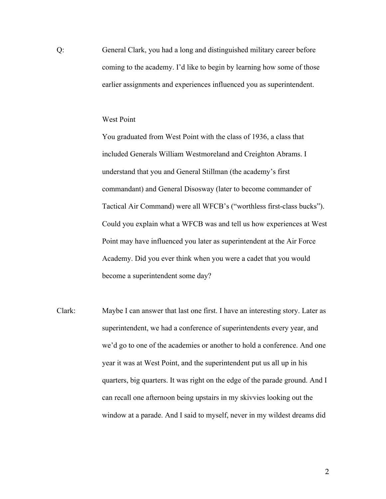Q: General Clark, you had a long and distinguished military career before coming to the academy. I'd like to begin by learning how some of those earlier assignments and experiences influenced you as superintendent.

## West Point

You graduated from West Point with the class of 1936, a class that included Generals William Westmoreland and Creighton Abrams. I understand that you and General Stillman (the academy's first commandant) and General Disosway (later to become commander of Tactical Air Command) were all WFCB's ("worthless first-class bucks"). Could you explain what a WFCB was and tell us how experiences at West Point may have influenced you later as superintendent at the Air Force Academy. Did you ever think when you were a cadet that you would become a superintendent some day?

Clark: Maybe I can answer that last one first. I have an interesting story. Later as superintendent, we had a conference of superintendents every year, and we'd go to one of the academies or another to hold a conference. And one year it was at West Point, and the superintendent put us all up in his quarters, big quarters. It was right on the edge of the parade ground. And I can recall one afternoon being upstairs in my skivvies looking out the window at a parade. And I said to myself, never in my wildest dreams did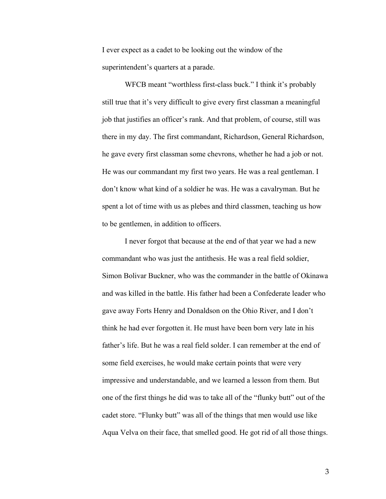I ever expect as a cadet to be looking out the window of the superintendent's quarters at a parade.

WFCB meant "worthless first-class buck." I think it's probably still true that it's very difficult to give every first classman a meaningful job that justifies an officer's rank. And that problem, of course, still was there in my day. The first commandant, Richardson, General Richardson, he gave every first classman some chevrons, whether he had a job or not. He was our commandant my first two years. He was a real gentleman. I don't know what kind of a soldier he was. He was a cavalryman. But he spent a lot of time with us as plebes and third classmen, teaching us how to be gentlemen, in addition to officers.

I never forgot that because at the end of that year we had a new commandant who was just the antithesis. He was a real field soldier, Simon Bolivar Buckner, who was the commander in the battle of Okinawa and was killed in the battle. His father had been a Confederate leader who gave away Forts Henry and Donaldson on the Ohio River, and I don't think he had ever forgotten it. He must have been born very late in his father's life. But he was a real field solder. I can remember at the end of some field exercises, he would make certain points that were very impressive and understandable, and we learned a lesson from them. But one of the first things he did was to take all of the "flunky butt" out of the cadet store. "Flunky butt" was all of the things that men would use like Aqua Velva on their face, that smelled good. He got rid of all those things.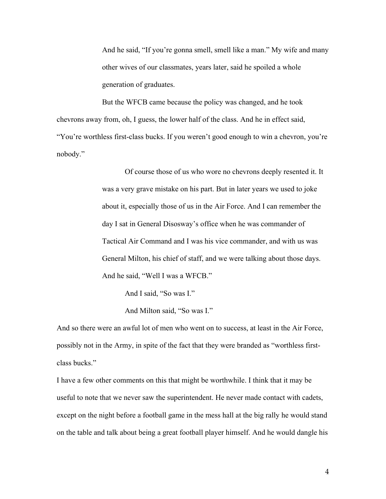And he said, "If you're gonna smell, smell like a man." My wife and many other wives of our classmates, years later, said he spoiled a whole generation of graduates.

But the WFCB came because the policy was changed, and he took chevrons away from, oh, I guess, the lower half of the class. And he in effect said, "You're worthless first-class bucks. If you weren't good enough to win a chevron, you're nobody."

> Of course those of us who wore no chevrons deeply resented it. It was a very grave mistake on his part. But in later years we used to joke about it, especially those of us in the Air Force. And I can remember the day I sat in General Disosway's office when he was commander of Tactical Air Command and I was his vice commander, and with us was General Milton, his chief of staff, and we were talking about those days. And he said, "Well I was a WFCB."

> > And I said, "So was I."

And Milton said, "So was I."

And so there were an awful lot of men who went on to success, at least in the Air Force, possibly not in the Army, in spite of the fact that they were branded as "worthless firstclass bucks."

I have a few other comments on this that might be worthwhile. I think that it may be useful to note that we never saw the superintendent. He never made contact with cadets, except on the night before a football game in the mess hall at the big rally he would stand on the table and talk about being a great football player himself. And he would dangle his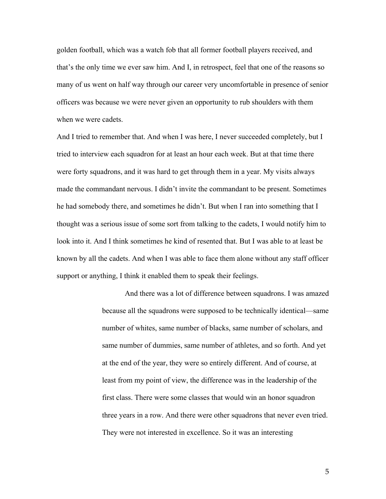golden football, which was a watch fob that all former football players received, and that's the only time we ever saw him. And I, in retrospect, feel that one of the reasons so many of us went on half way through our career very uncomfortable in presence of senior officers was because we were never given an opportunity to rub shoulders with them when we were cadets.

And I tried to remember that. And when I was here, I never succeeded completely, but I tried to interview each squadron for at least an hour each week. But at that time there were forty squadrons, and it was hard to get through them in a year. My visits always made the commandant nervous. I didn't invite the commandant to be present. Sometimes he had somebody there, and sometimes he didn't. But when I ran into something that I thought was a serious issue of some sort from talking to the cadets, I would notify him to look into it. And I think sometimes he kind of resented that. But I was able to at least be known by all the cadets. And when I was able to face them alone without any staff officer support or anything, I think it enabled them to speak their feelings.

> And there was a lot of difference between squadrons. I was amazed because all the squadrons were supposed to be technically identical—same number of whites, same number of blacks, same number of scholars, and same number of dummies, same number of athletes, and so forth. And yet at the end of the year, they were so entirely different. And of course, at least from my point of view, the difference was in the leadership of the first class. There were some classes that would win an honor squadron three years in a row. And there were other squadrons that never even tried. They were not interested in excellence. So it was an interesting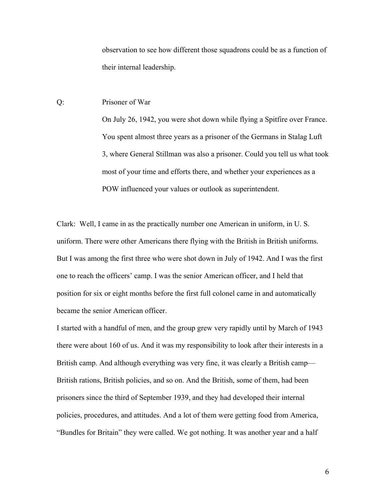observation to see how different those squadrons could be as a function of their internal leadership.

## Q: Prisoner of War

On July 26, 1942, you were shot down while flying a Spitfire over France. You spent almost three years as a prisoner of the Germans in Stalag Luft 3, where General Stillman was also a prisoner. Could you tell us what took most of your time and efforts there, and whether your experiences as a POW influenced your values or outlook as superintendent.

Clark: Well, I came in as the practically number one American in uniform, in U. S. uniform. There were other Americans there flying with the British in British uniforms. But I was among the first three who were shot down in July of 1942. And I was the first one to reach the officers' camp. I was the senior American officer, and I held that position for six or eight months before the first full colonel came in and automatically became the senior American officer.

I started with a handful of men, and the group grew very rapidly until by March of 1943 there were about 160 of us. And it was my responsibility to look after their interests in a British camp. And although everything was very fine, it was clearly a British camp— British rations, British policies, and so on. And the British, some of them, had been prisoners since the third of September 1939, and they had developed their internal policies, procedures, and attitudes. And a lot of them were getting food from America, "Bundles for Britain" they were called. We got nothing. It was another year and a half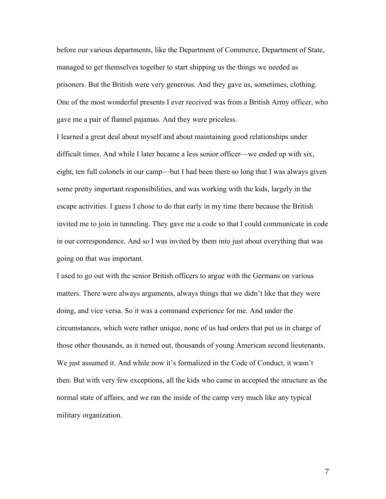before our various departments, like the Department of Commerce, Department of State, managed to get themselves together to start shipping us the things we needed as prisoners. But the British were very generous. And they gave us, sometimes, clothing. One of the most wonderful presents I ever received was from a British Army officer, who gave me a pair of flannel pajamas. And they were priceless.

I learned a great deal about myself and about maintaining good relationships under difficult times. And while I later became a less senior officer—we ended up with six, eight, ten full colonels in our camp—but I had been there so long that I was always given some pretty important responsibilities, and was working with the kids, largely in the escape activities. I guess I chose to do that early in my time there because the British invited me to join in tunneling. They gave me a code so that I could communicate in code in our correspondence. And so I was invited by them into just about everything that was going on that was important.

I used to go out with the senior British officers to argue with the Germans on various matters. There were always arguments, always things that we didn't like that they were doing, and vice versa. So it was a command experience for me. And under the circumstances, which were rather unique, none of us had orders that put us in charge of those other thousands, as it turned out, thousands of young American second lieutenants. We just assumed it. And while now it's formalized in the Code of Conduct, it wasn't then. But with very few exceptions, all the kids who came in accepted the structure as the normal state of affairs, and we ran the inside of the camp very much like any typical military organization.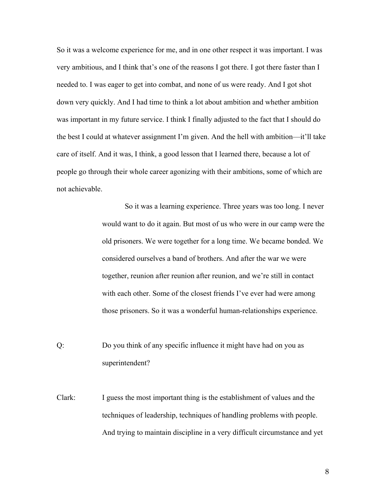So it was a welcome experience for me, and in one other respect it was important. I was very ambitious, and I think that's one of the reasons I got there. I got there faster than I needed to. I was eager to get into combat, and none of us were ready. And I got shot down very quickly. And I had time to think a lot about ambition and whether ambition was important in my future service. I think I finally adjusted to the fact that I should do the best I could at whatever assignment I'm given. And the hell with ambition—it'll take care of itself. And it was, I think, a good lesson that I learned there, because a lot of people go through their whole career agonizing with their ambitions, some of which are not achievable.

> So it was a learning experience. Three years was too long. I never would want to do it again. But most of us who were in our camp were the old prisoners. We were together for a long time. We became bonded. We considered ourselves a band of brothers. And after the war we were together, reunion after reunion after reunion, and we're still in contact with each other. Some of the closest friends I've ever had were among those prisoners. So it was a wonderful human-relationships experience.

Q: Do you think of any specific influence it might have had on you as superintendent?

Clark: I guess the most important thing is the establishment of values and the techniques of leadership, techniques of handling problems with people. And trying to maintain discipline in a very difficult circumstance and yet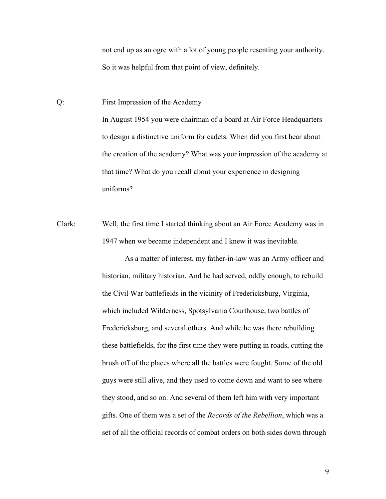not end up as an ogre with a lot of young people resenting your authority. So it was helpful from that point of view, definitely.

Q: First Impression of the Academy In August 1954 you were chairman of a board at Air Force Headquarters to design a distinctive uniform for cadets. When did you first hear about the creation of the academy? What was your impression of the academy at that time? What do you recall about your experience in designing uniforms?

Clark: Well, the first time I started thinking about an Air Force Academy was in 1947 when we became independent and I knew it was inevitable.

> As a matter of interest, my father-in-law was an Army officer and historian, military historian. And he had served, oddly enough, to rebuild the Civil War battlefields in the vicinity of Fredericksburg, Virginia, which included Wilderness, Spotsylvania Courthouse, two battles of Fredericksburg, and several others. And while he was there rebuilding these battlefields, for the first time they were putting in roads, cutting the brush off of the places where all the battles were fought. Some of the old guys were still alive, and they used to come down and want to see where they stood, and so on. And several of them left him with very important gifts. One of them was a set of the *Records of the Rebellion*, which was a set of all the official records of combat orders on both sides down through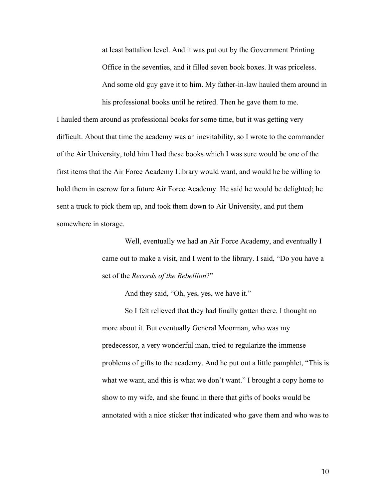at least battalion level. And it was put out by the Government Printing Office in the seventies, and it filled seven book boxes. It was priceless. And some old guy gave it to him. My father-in-law hauled them around in his professional books until he retired. Then he gave them to me.

I hauled them around as professional books for some time, but it was getting very difficult. About that time the academy was an inevitability, so I wrote to the commander of the Air University, told him I had these books which I was sure would be one of the first items that the Air Force Academy Library would want, and would he be willing to hold them in escrow for a future Air Force Academy. He said he would be delighted; he sent a truck to pick them up, and took them down to Air University, and put them somewhere in storage.

> Well, eventually we had an Air Force Academy, and eventually I came out to make a visit, and I went to the library. I said, "Do you have a set of the *Records of the Rebellion*?"

> > And they said, "Oh, yes, yes, we have it."

So I felt relieved that they had finally gotten there. I thought no more about it. But eventually General Moorman, who was my predecessor, a very wonderful man, tried to regularize the immense problems of gifts to the academy. And he put out a little pamphlet, "This is what we want, and this is what we don't want." I brought a copy home to show to my wife, and she found in there that gifts of books would be annotated with a nice sticker that indicated who gave them and who was to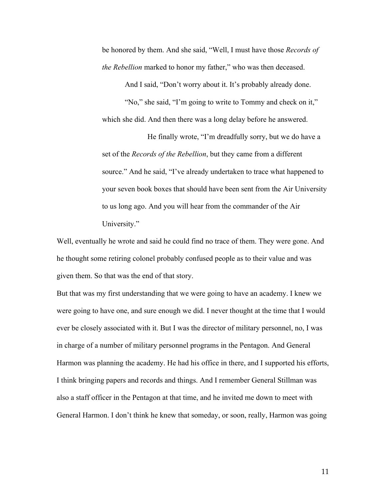be honored by them. And she said, "Well, I must have those *Records of the Rebellion* marked to honor my father," who was then deceased.

And I said, "Don't worry about it. It's probably already done. "No," she said, "I'm going to write to Tommy and check on it," which she did. And then there was a long delay before he answered.

He finally wrote, "I'm dreadfully sorry, but we do have a set of the *Records of the Rebellion*, but they came from a different source." And he said, "I've already undertaken to trace what happened to your seven book boxes that should have been sent from the Air University to us long ago. And you will hear from the commander of the Air University."

Well, eventually he wrote and said he could find no trace of them. They were gone. And he thought some retiring colonel probably confused people as to their value and was given them. So that was the end of that story.

But that was my first understanding that we were going to have an academy. I knew we were going to have one, and sure enough we did. I never thought at the time that I would ever be closely associated with it. But I was the director of military personnel, no, I was in charge of a number of military personnel programs in the Pentagon. And General Harmon was planning the academy. He had his office in there, and I supported his efforts, I think bringing papers and records and things. And I remember General Stillman was also a staff officer in the Pentagon at that time, and he invited me down to meet with General Harmon. I don't think he knew that someday, or soon, really, Harmon was going